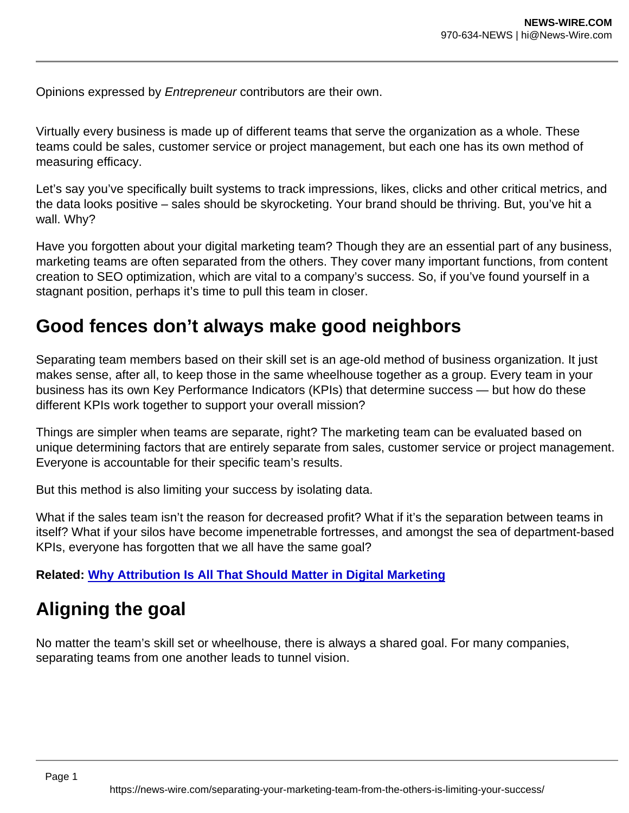Opinions expressed by Entrepreneur contributors are their own.

Virtually every business is made up of different teams that serve the organization as a whole. These teams could be sales, customer service or project management, but each one has its own method of measuring efficacy.

Let's say you've specifically built systems to track impressions, likes, clicks and other critical metrics, and the data looks positive – sales should be skyrocketing. Your brand should be thriving. But, you've hit a wall. Why?

Have you forgotten about your digital marketing team? Though they are an essential part of any business, marketing teams are often separated from the others. They cover many important functions, from content creation to SEO optimization, which are vital to a company's success. So, if you've found yourself in a stagnant position, perhaps it's time to pull this team in closer.

## Good fences don't always make good neighbors

Separating team members based on their skill set is an age-old method of business organization. It just makes sense, after all, to keep those in the same wheelhouse together as a group. Every team in your business has its own Key Performance Indicators (KPIs) that determine success — but how do these different KPIs work together to support your overall mission?

Things are simpler when teams are separate, right? The marketing team can be evaluated based on unique determining factors that are entirely separate from sales, customer service or project management. Everyone is accountable for their specific team's results.

But this method is also limiting your success by isolating data.

What if the sales team isn't the reason for decreased profit? What if it's the separation between teams in itself? What if your silos have become impenetrable fortresses, and amongst the sea of department-based KPIs, everyone has forgotten that we all have the same goal?

Related: [Why Attribution Is All That Should Matter in Digital Marketing](https://www.entrepreneur.com/article/386083)

## Aligning the goal

No matter the team's skill set or wheelhouse, there is always a shared goal. For many companies, separating teams from one another leads to tunnel vision.